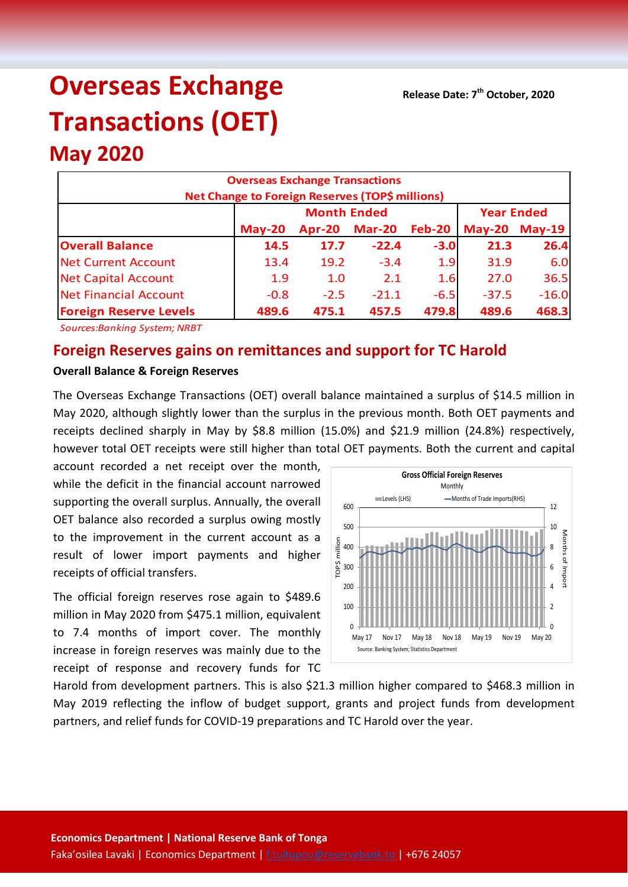**Release Date: 7th October, 2020**

# **Overseas Exchange Transactions (OET)**

# **May 2020**

| <b>Overseas Exchange Transactions</b><br><b>Net Change to Foreign Reserves (TOP\$ millions)</b> |          |                    |                   |               |         |                      |  |  |
|-------------------------------------------------------------------------------------------------|----------|--------------------|-------------------|---------------|---------|----------------------|--|--|
|                                                                                                 |          | <b>Month Ended</b> | <b>Year Ended</b> |               |         |                      |  |  |
|                                                                                                 | $May-20$ | Apr-20             | <b>Mar-20</b>     | <b>Feb-20</b> |         | <b>May-20 May-19</b> |  |  |
| <b>Overall Balance</b>                                                                          | 14.5     | 17.7               | $-22.4$           | $-3.0$        | 21.3    | 26.4                 |  |  |
| Net Current Account                                                                             | 13.4     | 19.2               | $-3.4$            | 1.9           | 31.9    | 6.0                  |  |  |
| Net Capital Account                                                                             | 1.9      | 1.0                | 2.1               | 1.6           | 27.0    | 36.5                 |  |  |
| Net Financial Account                                                                           | $-0.8$   | $-2.5$             | $-21.1$           | $-6.5$        | $-37.5$ | $-16.0$              |  |  |
| <b>Foreign Reserve Levels</b><br>479.8<br>489.6<br>489.6<br>475.1<br>457.5                      |          |                    |                   |               |         |                      |  |  |

*Sources:Banking System; NRBT*

## **Foreign Reserves gains on remittances and support for TC Harold**

#### **Overall Balance & Foreign Reserves**

The Overseas Exchange Transactions (OET) overall balance maintained a surplus of \$14.5 million in May 2020, although slightly lower than the surplus in the previous month. Both OET payments and receipts declined sharply in May by \$8.8 million (15.0%) and \$21.9 million (24.8%) respectively, however total OET receipts were still higher than total OET payments. Both the current and capital

account recorded a net receipt over the month, while the deficit in the financial account narrowed supporting the overall surplus. Annually, the overall OET balance also recorded a surplus owing mostly to the improvement in the current account as a result of lower import payments and higher receipts of official transfers.

The official foreign reserves rose again to \$489.6 million in May 2020 from \$475.1 million, equivalent to 7.4 months of import cover. The monthly increase in foreign reserves was mainly due to the receipt of response and recovery funds for TC



Harold from development partners. This is also \$21.3 million higher compared to \$468.3 million in May 2019 reflecting the inflow of budget support, grants and project funds from development partners, and relief funds for COVID-19 preparations and TC Harold over the year.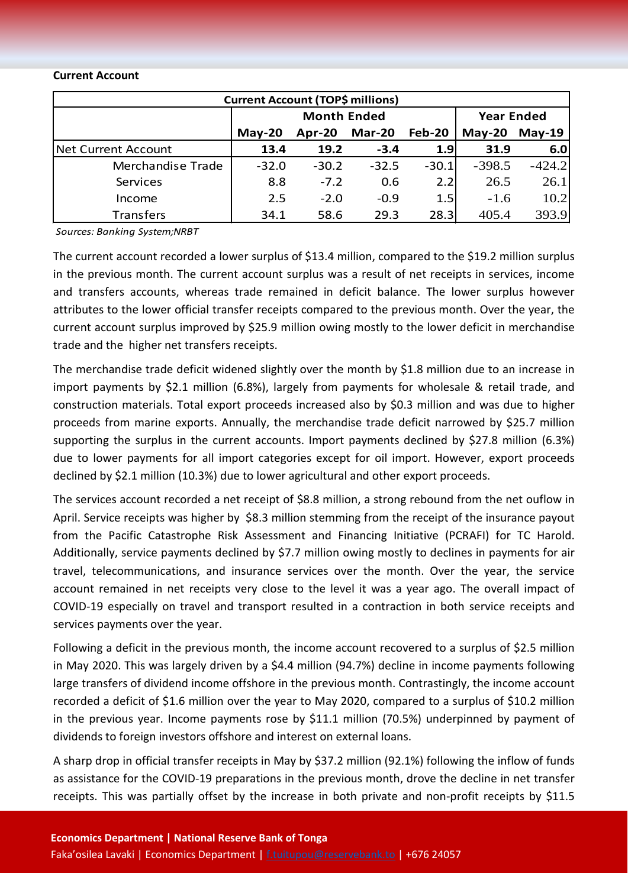#### **Current Account**

| <b>Current Account (TOP\$ millions)</b> |                    |         |               |                  |                   |          |  |  |
|-----------------------------------------|--------------------|---------|---------------|------------------|-------------------|----------|--|--|
|                                         | <b>Month Ended</b> |         |               |                  | <b>Year Ended</b> |          |  |  |
|                                         | $May-20$           | Apr-20  | <b>Mar-20</b> | Feb-20           | $May-20$          | $May-19$ |  |  |
| Net Current Account                     | 13.4               | 19.2    | $-3.4$        | 1.9 <sub>l</sub> | 31.9              | 6.0      |  |  |
| Merchandise Trade                       | $-32.0$            | $-30.2$ | $-32.5$       | $-30.1$          | $-398.5$          | $-424.2$ |  |  |
| Services                                | 8.8                | $-7.2$  | 0.6           | 2.2              | 26.5              | 26.1     |  |  |
| Income                                  | 2.5                | $-2.0$  | $-0.9$        | 1.5              | $-1.6$            | 10.2     |  |  |
| <b>Transfers</b>                        | 34.1               | 58.6    | 29.3          | 28.3             | 405.4             | 393.9    |  |  |

*Sources: Banking System;NRBT*

The current account recorded a lower surplus of \$13.4 million, compared to the \$19.2 million surplus in the previous month. The current account surplus was a result of net receipts in services, income and transfers accounts, whereas trade remained in deficit balance. The lower surplus however attributes to the lower official transfer receipts compared to the previous month. Over the year, the current account surplus improved by \$25.9 million owing mostly to the lower deficit in merchandise trade and the higher net transfers receipts.

The merchandise trade deficit widened slightly over the month by \$1.8 million due to an increase in import payments by \$2.1 million (6.8%), largely from payments for wholesale & retail trade, and construction materials. Total export proceeds increased also by \$0.3 million and was due to higher proceeds from marine exports. Annually, the merchandise trade deficit narrowed by \$25.7 million supporting the surplus in the current accounts. Import payments declined by \$27.8 million (6.3%) due to lower payments for all import categories except for oil import. However, export proceeds declined by \$2.1 million (10.3%) due to lower agricultural and other export proceeds.

The services account recorded a net receipt of \$8.8 million, a strong rebound from the net ouflow in April. Service receipts was higher by \$8.3 million stemming from the receipt of the insurance payout from the Pacific Catastrophe Risk Assessment and Financing Initiative (PCRAFI) for TC Harold. Additionally, service payments declined by \$7.7 million owing mostly to declines in payments for air travel, telecommunications, and insurance services over the month. Over the year, the service account remained in net receipts very close to the level it was a year ago. The overall impact of COVID-19 especially on travel and transport resulted in a contraction in both service receipts and services payments over the year.

Following a deficit in the previous month, the income account recovered to a surplus of \$2.5 million in May 2020. This was largely driven by a \$4.4 million (94.7%) decline in income payments following large transfers of dividend income offshore in the previous month. Contrastingly, the income account recorded a deficit of \$1.6 million over the year to May 2020, compared to a surplus of \$10.2 million in the previous year. Income payments rose by \$11.1 million (70.5%) underpinned by payment of dividends to foreign investors offshore and interest on external loans.

A sharp drop in official transfer receipts in May by \$37.2 million (92.1%) following the inflow of funds as assistance for the COVID-19 preparations in the previous month, drove the decline in net transfer receipts. This was partially offset by the increase in both private and non-profit receipts by \$11.5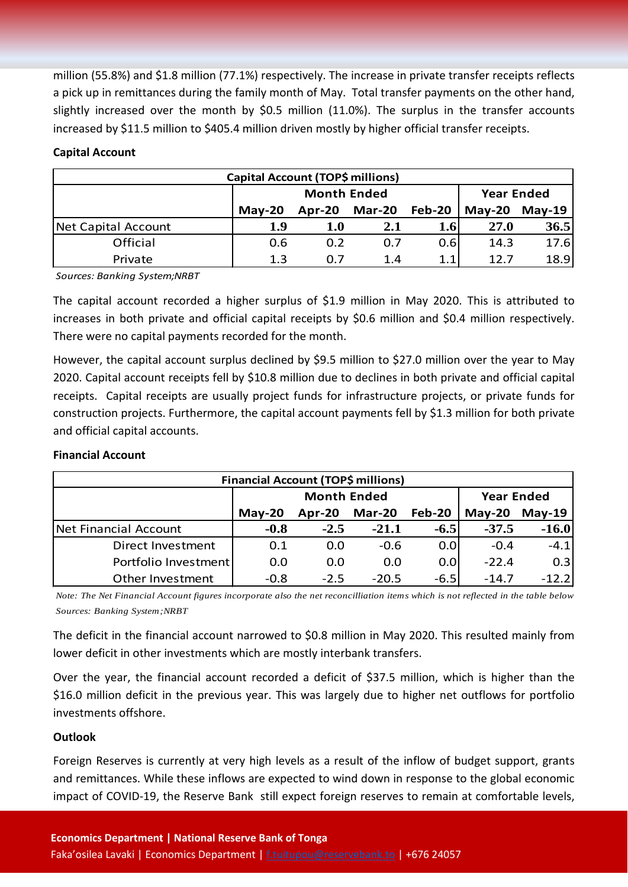million (55.8%) and \$1.8 million (77.1%) respectively. The increase in private transfer receipts reflects a pick up in remittances during the family month of May. Total transfer payments on the other hand, slightly increased over the month by \$0.5 million (11.0%). The surplus in the transfer accounts increased by \$11.5 million to \$405.4 million driven mostly by higher official transfer receipts.

#### **Capital Account**

| Capital Account (TOP\$ millions) |          |                    |                   |        |          |        |  |  |
|----------------------------------|----------|--------------------|-------------------|--------|----------|--------|--|--|
|                                  |          | <b>Month Ended</b> | <b>Year Ended</b> |        |          |        |  |  |
|                                  | $May-20$ | <b>Apr-20</b>      | <b>Mar-20</b>     | Feb-20 | $May-20$ | May-19 |  |  |
| Net Capital Account              | 1.9      | 1.0                | 2.1               | 1.6    | 27.0     | 36.5   |  |  |
| Official                         | 0.6      | 0.2                | 0.7               | 0.6    | 14.3     | 17.6   |  |  |
| Private                          | 1.3      | 0.7                | 1.4               | 1.1    | 12.7     | 18.9   |  |  |

*Sources: Banking System;NRBT*

The capital account recorded a higher surplus of \$1.9 million in May 2020. This is attributed to increases in both private and official capital receipts by \$0.6 million and \$0.4 million respectively. There were no capital payments recorded for the month.

However, the capital account surplus declined by \$9.5 million to \$27.0 million over the year to May 2020. Capital account receipts fell by \$10.8 million due to declines in both private and official capital receipts. Capital receipts are usually project funds for infrastructure projects, or private funds for construction projects. Furthermore, the capital account payments fell by \$1.3 million for both private and official capital accounts.

#### **Financial Account**

| Financial Account (TOP\$ millions) |          |                    |                   |        |          |          |  |  |
|------------------------------------|----------|--------------------|-------------------|--------|----------|----------|--|--|
|                                    |          | <b>Month Ended</b> | <b>Year Ended</b> |        |          |          |  |  |
|                                    | $May-20$ | Apr-20             | <b>Mar-20</b>     | Feb-20 | $May-20$ | $May-19$ |  |  |
| Net Financial Account              | $-0.8$   | $-2.5$             | $-21.1$           | $-6.5$ | $-37.5$  | $-16.0$  |  |  |
| Direct Investment                  | 0.1      | 0.0                | $-0.6$            | 0.0    | $-0.4$   | $-4.1$   |  |  |
| Portfolio Investment               | 0.0      | 0.0                | 0.0               | 0.0    | $-22.4$  | 0.3      |  |  |
| Other Investment                   | $-0.8$   | $-2.5$             | $-20.5$           | $-6.5$ | $-14.7$  | $-12.2$  |  |  |

*Note: The Net Financial Account figures incorporate also the net reconcilliation items which is not reflected in the table below Sources: Banking System;NRBT*

The deficit in the financial account narrowed to \$0.8 million in May 2020. This resulted mainly from lower deficit in other investments which are mostly interbank transfers.

Over the year, the financial account recorded a deficit of \$37.5 million, which is higher than the \$16.0 million deficit in the previous year. This was largely due to higher net outflows for portfolio investments offshore.

### **Outlook**

Foreign Reserves is currently at very high levels as a result of the inflow of budget support, grants and remittances. While these inflows are expected to wind down in response to the global economic impact of COVID-19, the Reserve Bank still expect foreign reserves to remain at comfortable levels,